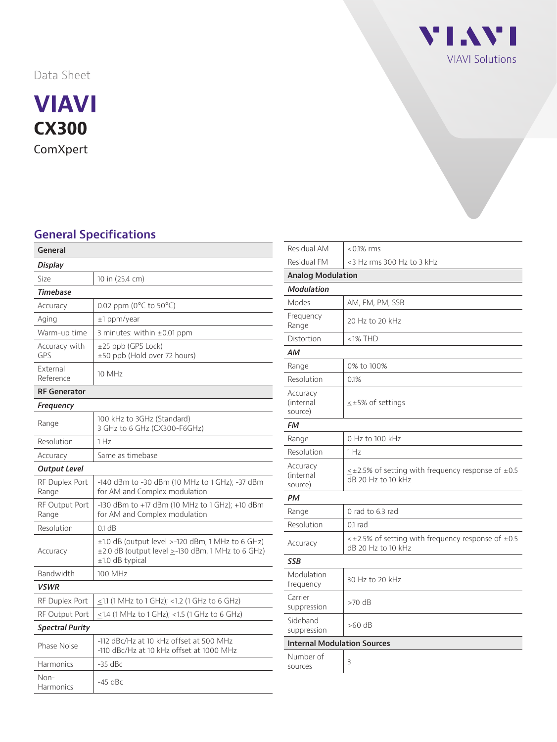Data Sheet

## **VIAVI CX300** ComXpert

## **General Specifications**

| General                  |                                                                                                                           |
|--------------------------|---------------------------------------------------------------------------------------------------------------------------|
| Display                  |                                                                                                                           |
| Size                     | 10 in (25.4 cm)                                                                                                           |
| <b>Timebase</b>          |                                                                                                                           |
| Accuracy                 | 0.02 ppm ( $0^{\circ}$ C to 50 $^{\circ}$ C)                                                                              |
| Aging                    | $±1$ ppm/year                                                                                                             |
| Warm-up time             | 3 minutes: within $\pm 0.01$ ppm                                                                                          |
| Accuracy with<br>GPS     | $\pm$ 25 ppb (GPS Lock)<br>±50 ppb (Hold over 72 hours)                                                                   |
| External<br>Reference    | 10 MHz                                                                                                                    |
| <b>RF Generator</b>      |                                                                                                                           |
| Frequency                |                                                                                                                           |
| Range                    | 100 kHz to 3GHz (Standard)<br>3 GHz to 6 GHz (CX300-F6GHz)                                                                |
| Resolution               | 1 H <sub>z</sub>                                                                                                          |
| Accuracy                 | Same as timebase                                                                                                          |
| <b>Output Level</b>      |                                                                                                                           |
| RF Duplex Port<br>Range  | -140 dBm to -30 dBm (10 MHz to 1 GHz); -37 dBm<br>for AM and Complex modulation                                           |
| RF Output Port<br>Range  | -130 dBm to +17 dBm (10 MHz to 1 GHz); +10 dBm<br>for AM and Complex modulation                                           |
| Resolution               | $0.1$ dB                                                                                                                  |
| Accuracy                 | ±1.0 dB (output level >-120 dBm, 1 MHz to 6 GHz)<br>±2.0 dB (output level ≥-130 dBm, 1 MHz to 6 GHz)<br>$±1.0$ dB typical |
| Bandwidth                | 100 MHz                                                                                                                   |
| <b>VSWR</b>              |                                                                                                                           |
| RF Duplex Port           | $\leq$ 1.1 (1 MHz to 1 GHz); <1.2 (1 GHz to 6 GHz)                                                                        |
| RF Output Port           | <1.4 (1 MHz to 1 GHz); <1.5 (1 GHz to 6 GHz)                                                                              |
| <b>Spectral Purity</b>   |                                                                                                                           |
| Phase Noise              | -112 dBc/Hz at 10 kHz offset at 500 MHz<br>-110 dBc/Hz at 10 kHz offset at 1000 MHz                                       |
| Harmonics                | $-35$ dBc                                                                                                                 |
| Non-<br><b>Harmonics</b> | $-45$ dBc                                                                                                                 |

| Residual AM                        | $< 0.1\%$ rms                                                           |  |
|------------------------------------|-------------------------------------------------------------------------|--|
| Residual FM                        | $<$ 3 Hz rms 300 Hz to 3 kHz                                            |  |
| <b>Analog Modulation</b>           |                                                                         |  |
| <b>Modulation</b>                  |                                                                         |  |
| Modes                              | AM, FM, PM, SSB                                                         |  |
| Frequency<br>Range                 | 20 Hz to 20 kHz                                                         |  |
| Distortion                         | <1% THD                                                                 |  |
| AМ                                 |                                                                         |  |
| Range                              | 0% to 100%                                                              |  |
| Resolution                         | 0.1%                                                                    |  |
| Accuracy<br>(internal<br>source)   | ≤±5% of settings                                                        |  |
| <b>FM</b>                          |                                                                         |  |
| Range                              | 0 Hz to 100 kHz                                                         |  |
| Resolution                         | 1Hz                                                                     |  |
| Accuracy<br>(internal<br>source)   | ≤±2.5% of setting with frequency response of ±0.5<br>dB 20 Hz to 10 kHz |  |
| PM                                 |                                                                         |  |
| Range                              | $0$ rad to 6.3 rad                                                      |  |
| Resolution                         | $0.1$ rad                                                               |  |
| Accuracy                           | <±2.5% of setting with frequency response of ±0.5<br>dB 20 Hz to 10 kHz |  |
| <b>SSB</b>                         |                                                                         |  |
| Modulation<br>frequency            | 30 Hz to 20 kHz                                                         |  |
| Carrier<br>suppression             | $>70$ dB                                                                |  |
| Sideband<br>suppression            | $>60$ dB                                                                |  |
| <b>Internal Modulation Sources</b> |                                                                         |  |
| Number of<br>sources               | 3                                                                       |  |

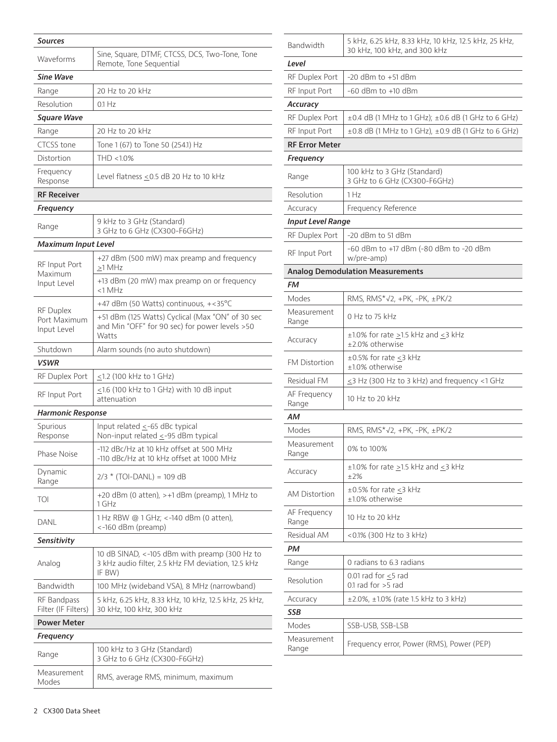| <b>Sources</b>                                  |                                                                                                               |
|-------------------------------------------------|---------------------------------------------------------------------------------------------------------------|
| Waveforms                                       | Sine, Square, DTMF, CTCSS, DCS, Two-Tone, Tone<br>Remote, Tone Sequential                                     |
| <b>Sine Wave</b>                                |                                                                                                               |
| Range                                           | 20 Hz to 20 kHz                                                                                               |
| Resolution                                      | $0.1$ Hz                                                                                                      |
| Square Wave                                     |                                                                                                               |
| Range                                           | 20 Hz to 20 kHz                                                                                               |
| <b>CTCSS</b> tone                               | Tone 1 (67) to Tone 50 (254.1) Hz                                                                             |
| Distortion                                      | THD <1.0%                                                                                                     |
| Frequency<br>Response                           | Level flatness < 0.5 dB 20 Hz to 10 kHz                                                                       |
| <b>RF Receiver</b>                              |                                                                                                               |
| Frequency                                       |                                                                                                               |
| Range                                           | 9 kHz to 3 GHz (Standard)<br>3 GHz to 6 GHz (CX300-F6GHz)                                                     |
| <b>Maximum Input Level</b>                      |                                                                                                               |
| RF Input Port<br>Maximum                        | +27 dBm (500 mW) max preamp and frequency<br>$\geq$ 1 MHz                                                     |
| Input Level                                     | +13 dBm (20 mW) max preamp on or frequency<br><1 MHz                                                          |
|                                                 | +47 dBm (50 Watts) continuous, +<35°C                                                                         |
| <b>RF Duplex</b><br>Port Maximum<br>Input Level | +51 dBm (125 Watts) Cyclical (Max "ON" of 30 sec<br>and Min "OFF" for 90 sec) for power levels >50<br>Watts   |
| Shutdown                                        | Alarm sounds (no auto shutdown)                                                                               |
| <b>VSWR</b>                                     |                                                                                                               |
| RF Duplex Port                                  | $\le$ 1.2 (100 kHz to 1 GHz)                                                                                  |
| RF Input Port                                   | $\leq$ 1.6 (100 kHz to 1 GHz) with 10 dB input<br>attenuation                                                 |
| <b>Harmonic Response</b>                        |                                                                                                               |
| Spurious<br>Response                            | Input related $\leq$ -65 dBc typical<br>Non-input related <-95 dBm typical                                    |
| Phase Noise                                     | -112 dBc/Hz at 10 kHz offset at 500 MHz<br>-110 dBc/Hz at 10 kHz offset at 1000 MHz                           |
| Dynamic<br>Range                                | $2/3$ * (TOI-DANL) = 109 dB                                                                                   |
| TOI                                             | +20 dBm (0 atten), >+1 dBm (preamp), 1 MHz to<br>1 GHz                                                        |
| DANL                                            | 1 Hz RBW @ 1 GHz; <-140 dBm (0 atten),<br><-160 dBm (preamp)                                                  |
| Sensitivity                                     |                                                                                                               |
| Analog                                          | 10 dB SINAD, <-105 dBm with preamp (300 Hz to<br>3 kHz audio filter, 2.5 kHz FM deviation, 12.5 kHz<br>IF BW) |
| Bandwidth                                       | 100 MHz (wideband VSA), 8 MHz (narrowband)                                                                    |
| RF Bandpass<br>Filter (IF Filters)              | 5 kHz, 6.25 kHz, 8.33 kHz, 10 kHz, 12.5 kHz, 25 kHz,<br>30 kHz, 100 kHz, 300 kHz                              |
| <b>Power Meter</b>                              |                                                                                                               |
| <b>Frequency</b>                                |                                                                                                               |
| Range                                           | 100 kHz to 3 GHz (Standard)<br>3 GHz to 6 GHz (CX300-F6GHz)                                                   |
| Measurement<br>Modes                            | RMS, average RMS, minimum, maximum                                                                            |

| Bandwidth                | 5 kHz, 6.25 kHz, 8.33 kHz, 10 kHz, 12.5 kHz, 25 kHz,<br>30 kHz, 100 kHz, and 300 kHz |  |
|--------------------------|--------------------------------------------------------------------------------------|--|
| Level                    |                                                                                      |  |
| RF Duplex Port           | $-20$ dBm to $+51$ dBm                                                               |  |
| RF Input Port            | -60 dBm to +10 dBm                                                                   |  |
| Accuracy                 |                                                                                      |  |
| RF Duplex Port           | $\pm$ 0.4 dB (1 MHz to 1 GHz); $\pm$ 0.6 dB (1 GHz to 6 GHz)                         |  |
| RF Input Port            | $\pm 0.8$ dB (1 MHz to 1 GHz), $\pm 0.9$ dB (1 GHz to 6 GHz)                         |  |
| <b>RF Error Meter</b>    |                                                                                      |  |
| Frequency                |                                                                                      |  |
| Range                    | 100 kHz to 3 GHz (Standard)<br>3 GHz to 6 GHz (CX300-F6GHz)                          |  |
| Resolution               | 1Hz                                                                                  |  |
| Accuracy                 | Frequency Reference                                                                  |  |
| <b>Input Level Range</b> |                                                                                      |  |
| RF Duplex Port           | -20 dBm to 51 dBm                                                                    |  |
| RF Input Port            | -60 dBm to +17 dBm (-80 dBm to -20 dBm<br>w/pre-amp)                                 |  |
|                          | <b>Analog Demodulation Measurements</b>                                              |  |
| FM                       |                                                                                      |  |
| Modes                    | RMS, RMS*√2, +PK, -PK, ±PK/2                                                         |  |
| Measurement<br>Range     | 0 Hz to 75 kHz                                                                       |  |
| Accuracy                 | $\pm 1.0\%$ for rate $\geq 1.5$ kHz and $\leq 3$ kHz<br>±2.0% otherwise              |  |
| FM Distortion            | $\pm 0.5\%$ for rate $\leq$ 3 kHz<br>±1.0% otherwise                                 |  |
| Residual FM              | $\leq$ 3 Hz (300 Hz to 3 kHz) and frequency <1 GHz                                   |  |
| AF Frequency<br>Range    | 10 Hz to 20 kHz                                                                      |  |
| AМ                       |                                                                                      |  |
| Modes                    | RMS, RMS* $\sqrt{2}$ , +PK, -PK, ±PK/2                                               |  |
| Measurement<br>Range     | 0% to 100%                                                                           |  |
| Accuracy                 | $\pm$ 1.0% for rate $\ge$ 1.5 kHz and $\le$ 3 kHz<br>±2%                             |  |
| <b>AM Distortion</b>     | $\pm 0.5\%$ for rate <3 kHz<br>±1.0% otherwise                                       |  |
| AF Frequency<br>Range    | 10 Hz to 20 kHz                                                                      |  |
| Residual AM              | <0.1% (300 Hz to 3 kHz)                                                              |  |
| PМ                       |                                                                                      |  |
| Range                    | 0 radians to 6.3 radians                                                             |  |
| Resolution               | 0.01 rad for $<$ 5 rad<br>0.1 rad for $>$ 5 rad                                      |  |
| Accuracy                 | ±2.0%, ±1.0% (rate 1.5 kHz to 3 kHz)                                                 |  |
| SSB                      |                                                                                      |  |
| Modes                    | SSB-USB, SSB-LSB                                                                     |  |
| Measurement<br>Range     | Frequency error, Power (RMS), Power (PEP)                                            |  |
|                          |                                                                                      |  |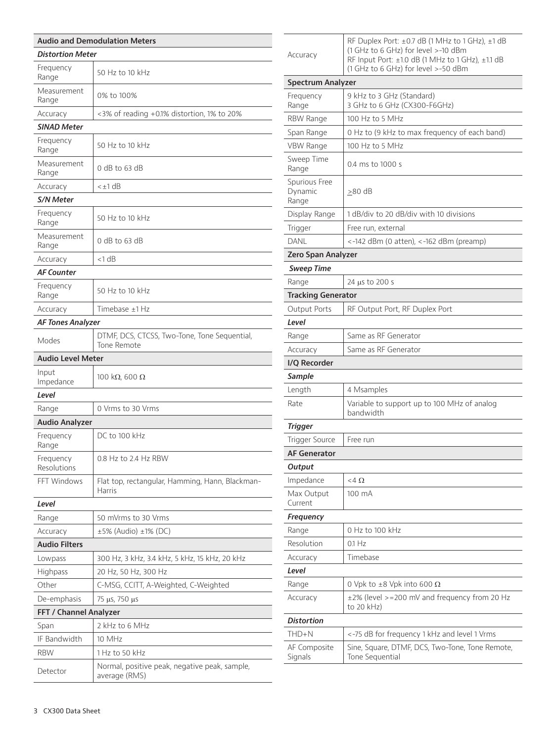|                          | <b>Audio and Demodulation Meters</b>                           |
|--------------------------|----------------------------------------------------------------|
| <b>Distortion Meter</b>  |                                                                |
| Frequency<br>Range       | 50 Hz to 10 kHz                                                |
| Measurement<br>Range     | 0% to 100%                                                     |
| Accuracy                 | <3% of reading +0.1% distortion, 1% to 20%                     |
| <b>SINAD Meter</b>       |                                                                |
| Frequency<br>Range       | 50 Hz to 10 kHz                                                |
| Measurement<br>Range     | 0 dB to 63 dB                                                  |
| Accuracy                 | <±1 dB                                                         |
| S/N Meter                |                                                                |
| Frequency<br>Range       | 50 Hz to 10 kHz                                                |
| Measurement<br>Range     | $0$ dB to 63 dB                                                |
| Accuracy                 | <1 dB                                                          |
| <b>AF Counter</b>        |                                                                |
| Frequency<br>Range       | 50 Hz to 10 kHz                                                |
| Accuracy                 | Timebase ±1 Hz                                                 |
| <b>AF Tones Analyzer</b> |                                                                |
| Modes                    | DTMF, DCS, CTCSS, Two-Tone, Tone Sequential,<br>Tone Remote    |
| <b>Audio Level Meter</b> |                                                                |
| Input<br>Impedance       | 100 k $\Omega$ , 600 $\Omega$                                  |
| Level                    |                                                                |
| Range                    | 0 Vrms to 30 Vrms                                              |
| <b>Audio Analyzer</b>    |                                                                |
| Frequency<br>Range       | DC to 100 kHz                                                  |
| Frequency<br>Resolutions | 0.8 Hz to 2.4 Hz RBW                                           |
| FFT Windows              | Flat top, rectangular, Hamming, Hann, Blackman-<br>Harris      |
| Level                    |                                                                |
| Range                    | 50 mVrms to 30 Vrms                                            |
| Accuracy                 | $±5\%$ (Audio) $±1\%$ (DC)                                     |
| <b>Audio Filters</b>     |                                                                |
| Lowpass                  | 300 Hz, 3 kHz, 3.4 kHz, 5 kHz, 15 kHz, 20 kHz                  |
| Highpass                 | 20 Hz, 50 Hz, 300 Hz                                           |
| Other                    | C-MSG, CCITT, A-Weighted, C-Weighted                           |
| De-emphasis              | 75 µs, 750 µs                                                  |
| FFT / Channel Analyzer   |                                                                |
| Span                     | 2 kHz to 6 MHz                                                 |
| IF Bandwidth             | 10 MHz                                                         |
| <b>RBW</b>               | 1 Hz to 50 kHz                                                 |
| Detector                 | Normal, positive peak, negative peak, sample,<br>average (RMS) |

| Accuracy                          | RF Duplex Port: ±0.7 dB (1 MHz to 1 GHz), ±1 dB<br>(1 GHz to 6 GHz) for level >-10 dBm<br>RF Input Port: $\pm 1.0$ dB (1 MHz to 1 GHz), $\pm 1.1$ dB<br>(1 GHz to 6 GHz) for level >-50 dBm |
|-----------------------------------|---------------------------------------------------------------------------------------------------------------------------------------------------------------------------------------------|
| <b>Spectrum Analyzer</b>          |                                                                                                                                                                                             |
| Frequency<br>Range                | 9 kHz to 3 GHz (Standard)<br>3 GHz to 6 GHz (CX300-F6GHz)                                                                                                                                   |
| RBW Range                         | 100 Hz to 5 MHz                                                                                                                                                                             |
| Span Range                        | 0 Hz to (9 kHz to max frequency of each band)                                                                                                                                               |
| <b>VBW Range</b>                  | 100 Hz to 5 MHz                                                                                                                                                                             |
| Sweep Time<br>Range               | 0.4 ms to 1000 s                                                                                                                                                                            |
| Spurious Free<br>Dynamic<br>Range | $>80$ dB                                                                                                                                                                                    |
| Display Range                     | 1 dB/div to 20 dB/div with 10 divisions                                                                                                                                                     |
| Irigger                           | Free run, external                                                                                                                                                                          |
| DANL                              | <-142 dBm (0 atten), <-162 dBm (preamp)                                                                                                                                                     |
| <b>Zero Span Analyzer</b>         |                                                                                                                                                                                             |
| <b>Sweep Time</b>                 |                                                                                                                                                                                             |
| Range                             | 24 us to 200 s                                                                                                                                                                              |
| <b>Tracking Generator</b>         |                                                                                                                                                                                             |
| Output Ports                      | RF Output Port, RF Duplex Port                                                                                                                                                              |
| Level                             |                                                                                                                                                                                             |
| Range                             | Same as RF Generator                                                                                                                                                                        |
| Accuracy                          | Same as RF Generator                                                                                                                                                                        |
| I/Q Recorder                      |                                                                                                                                                                                             |
| Sample                            |                                                                                                                                                                                             |
| Length                            | 4 Msamples                                                                                                                                                                                  |
| Rate                              | Variable to support up to 100 MHz of analog<br>bandwidth                                                                                                                                    |
| <b>Trigger</b>                    |                                                                                                                                                                                             |
| Trigger Source                    | Free run                                                                                                                                                                                    |
| <b>AF Generator</b>               |                                                                                                                                                                                             |
| Output                            |                                                                                                                                                                                             |
| Impedance                         | <4 $\Omega$                                                                                                                                                                                 |
| Max Output<br>Current             | 100 mA                                                                                                                                                                                      |
| Frequency                         |                                                                                                                                                                                             |
| Range                             | 0 Hz to 100 kHz                                                                                                                                                                             |
| Resolution                        | $0.1$ Hz                                                                                                                                                                                    |
| Accuracy                          | Timebase                                                                                                                                                                                    |
| Level                             |                                                                                                                                                                                             |
| Range                             | 0 Vpk to ±8 Vpk into 600 $\Omega$                                                                                                                                                           |
| Accuracy                          | $\pm$ 2% (level >=200 mV and frequency from 20 Hz<br>to 20 kHz)                                                                                                                             |
| Distortion                        |                                                                                                                                                                                             |
| THD+N                             | <-75 dB for frequency 1 kHz and level 1 Vrms                                                                                                                                                |
| AF Composite<br>Signals           | Sine, Square, DTMF, DCS, Two-Tone, Tone Remote,<br>Tone Sequential                                                                                                                          |